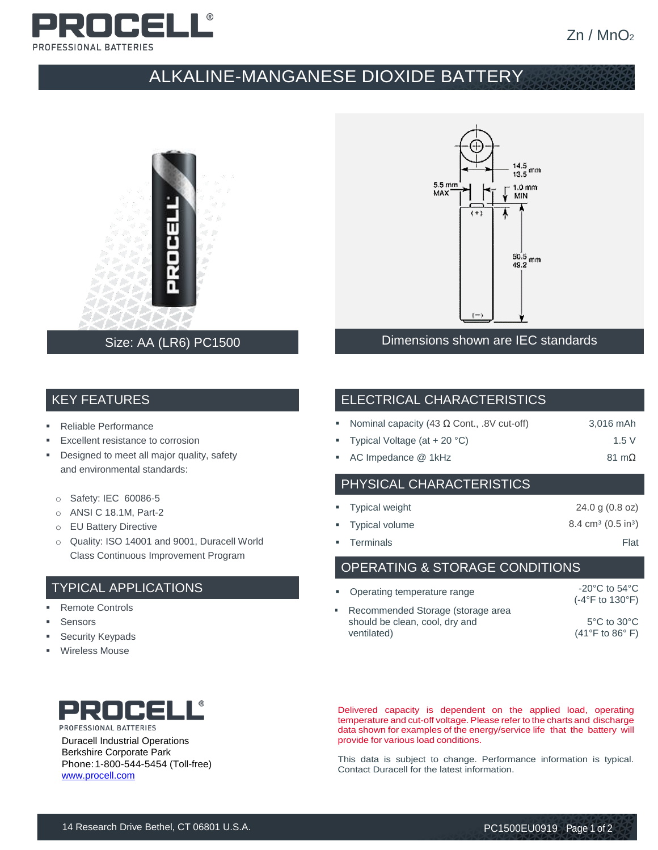

## ALKALINE-MANGANESE DIOXIDE BATTERY



### Size: AA (LR6) PC1500



Dimensions shown are IEC standards

#### KEY FEATURES

- Reliable Performance
- Excellent resistance to corrosion
- **•** Designed to meet all major quality, safety and environmental standards:
	- o Safety: IEC 60086-5
	- o ANSI C 18.1M, Part-2
	- o EU Battery Directive
	- o Quality: ISO 14001 and 9001, Duracell World Class Continuous Improvement Program

#### TYPICAL APPLICATIONS

- Remote Controls
- **Sensors**
- **Security Keypads**
- **Wireless Mouse**



Duracell Industrial Operations Berkshire Corporate Park Phone:1-800-544-5454 (Toll-free) [www.procell.com](http://www.procell.com/)

#### ELECTRICAL CHARACTERISTICS

| Nominal capacity (43 $\Omega$ Cont., .8V cut-off) | 3,016 mAh |
|---------------------------------------------------|-----------|
|                                                   |           |

- Typical Voltage  $(at + 20 °C)$  1.5 V
- AC Impedance @ 1kHz 81 mΩ

#### PHYSICAL CHARACTERISTICS

| • Typical weight | 24.0 g (0.8 oz)                           |
|------------------|-------------------------------------------|
| • Typical volume | $8.4 \text{ cm}^3$ (0.5 in <sup>3</sup> ) |
| • Terminals      | Flat                                      |

OPERATING & STORAGE CONDITIONS

| • Operating temperature range                                                        | $-20^{\circ}$ C to 54 $^{\circ}$ C<br>$(-4^{\circ}F$ to 130 $^{\circ}F)$ |
|--------------------------------------------------------------------------------------|--------------------------------------------------------------------------|
| • Recommended Storage (storage area<br>should be clean, cool, dry and<br>ventilated) | $5^{\circ}$ C to $30^{\circ}$ C<br>$(41^{\circ}$ F to 86 $^{\circ}$ F)   |

Delivered capacity is dependent on the applied load, operating temperature and cut-off voltage. Please refer to the charts and discharge data shown for examples of the energy/service life that the battery will provide for various load conditions.

This data is subject to change. Performance information is typical. Contact Duracell for the latest information.